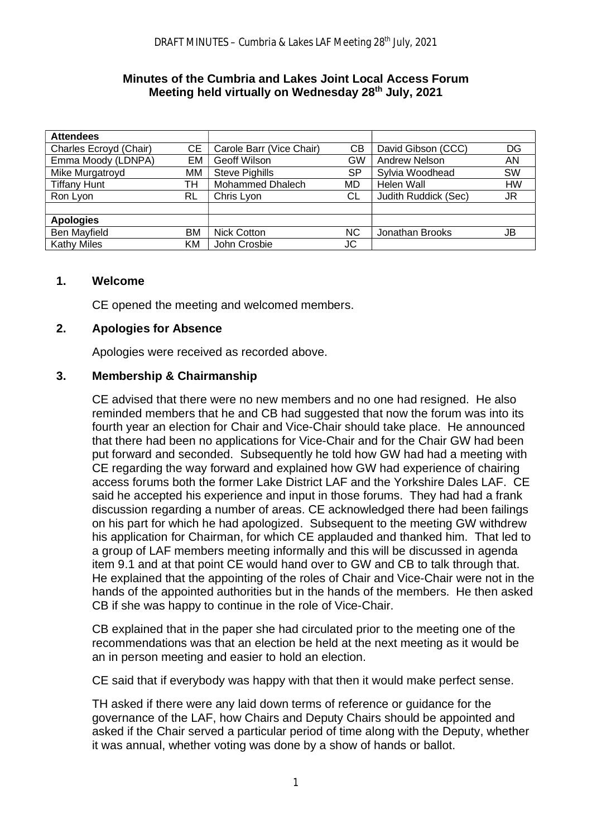#### **Minutes of the Cumbria and Lakes Joint Local Access Forum Meeting held virtually on Wednesday 28th July, 2021**

| <b>Attendees</b>       |           |                          |    |                      |           |
|------------------------|-----------|--------------------------|----|----------------------|-----------|
| Charles Ecroyd (Chair) | CЕ        | Carole Barr (Vice Chair) | CВ | David Gibson (CCC)   | DG        |
| Emma Moody (LDNPA)     | EM        | <b>Geoff Wilson</b>      | GW | Andrew Nelson        | AN        |
| Mike Murgatroyd        | МM        | <b>Steve Pighills</b>    | SP | Sylvia Woodhead      | <b>SW</b> |
| <b>Tiffany Hunt</b>    | TН        | Mohammed Dhalech         | MD | Helen Wall           | HW        |
| Ron Lyon               | RL        | Chris Lyon               | CL | Judith Ruddick (Sec) | JR        |
|                        |           |                          |    |                      |           |
| <b>Apologies</b>       |           |                          |    |                      |           |
| <b>Ben Mayfield</b>    | <b>BM</b> | <b>Nick Cotton</b>       | ΝC | Jonathan Brooks      | JB        |
| <b>Kathy Miles</b>     | ΚM        | John Crosbie             | JC |                      |           |

### **1. Welcome**

CE opened the meeting and welcomed members.

#### **2. Apologies for Absence**

Apologies were received as recorded above.

### **3. Membership & Chairmanship**

CE advised that there were no new members and no one had resigned. He also reminded members that he and CB had suggested that now the forum was into its fourth year an election for Chair and Vice-Chair should take place. He announced that there had been no applications for Vice-Chair and for the Chair GW had been put forward and seconded. Subsequently he told how GW had had a meeting with CE regarding the way forward and explained how GW had experience of chairing access forums both the former Lake District LAF and the Yorkshire Dales LAF. CE said he accepted his experience and input in those forums. They had had a frank discussion regarding a number of areas. CE acknowledged there had been failings on his part for which he had apologized. Subsequent to the meeting GW withdrew his application for Chairman, for which CE applauded and thanked him. That led to a group of LAF members meeting informally and this will be discussed in agenda item 9.1 and at that point CE would hand over to GW and CB to talk through that. He explained that the appointing of the roles of Chair and Vice-Chair were not in the hands of the appointed authorities but in the hands of the members. He then asked CB if she was happy to continue in the role of Vice-Chair.

CB explained that in the paper she had circulated prior to the meeting one of the recommendations was that an election be held at the next meeting as it would be an in person meeting and easier to hold an election.

CE said that if everybody was happy with that then it would make perfect sense.

TH asked if there were any laid down terms of reference or guidance for the governance of the LAF, how Chairs and Deputy Chairs should be appointed and asked if the Chair served a particular period of time along with the Deputy, whether it was annual, whether voting was done by a show of hands or ballot.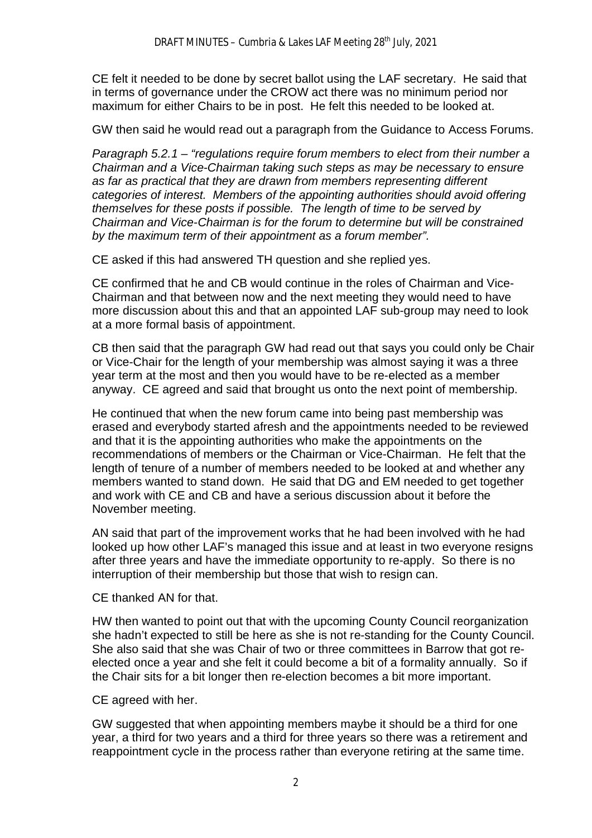CE felt it needed to be done by secret ballot using the LAF secretary. He said that in terms of governance under the CROW act there was no minimum period nor maximum for either Chairs to be in post. He felt this needed to be looked at.

GW then said he would read out a paragraph from the Guidance to Access Forums.

*Paragraph 5.2.1 – "regulations require forum members to elect from their number a Chairman and a Vice-Chairman taking such steps as may be necessary to ensure as far as practical that they are drawn from members representing different categories of interest. Members of the appointing authorities should avoid offering themselves for these posts if possible. The length of time to be served by Chairman and Vice-Chairman is for the forum to determine but will be constrained by the maximum term of their appointment as a forum member".*

CE asked if this had answered TH question and she replied yes.

CE confirmed that he and CB would continue in the roles of Chairman and Vice-Chairman and that between now and the next meeting they would need to have more discussion about this and that an appointed LAF sub-group may need to look at a more formal basis of appointment.

CB then said that the paragraph GW had read out that says you could only be Chair or Vice-Chair for the length of your membership was almost saying it was a three year term at the most and then you would have to be re-elected as a member anyway. CE agreed and said that brought us onto the next point of membership.

He continued that when the new forum came into being past membership was erased and everybody started afresh and the appointments needed to be reviewed and that it is the appointing authorities who make the appointments on the recommendations of members or the Chairman or Vice-Chairman. He felt that the length of tenure of a number of members needed to be looked at and whether any members wanted to stand down. He said that DG and EM needed to get together and work with CE and CB and have a serious discussion about it before the November meeting.

AN said that part of the improvement works that he had been involved with he had looked up how other LAF's managed this issue and at least in two everyone resigns after three years and have the immediate opportunity to re-apply. So there is no interruption of their membership but those that wish to resign can.

CE thanked AN for that.

HW then wanted to point out that with the upcoming County Council reorganization she hadn't expected to still be here as she is not re-standing for the County Council. She also said that she was Chair of two or three committees in Barrow that got reelected once a year and she felt it could become a bit of a formality annually. So if the Chair sits for a bit longer then re-election becomes a bit more important.

CE agreed with her.

GW suggested that when appointing members maybe it should be a third for one year, a third for two years and a third for three years so there was a retirement and reappointment cycle in the process rather than everyone retiring at the same time.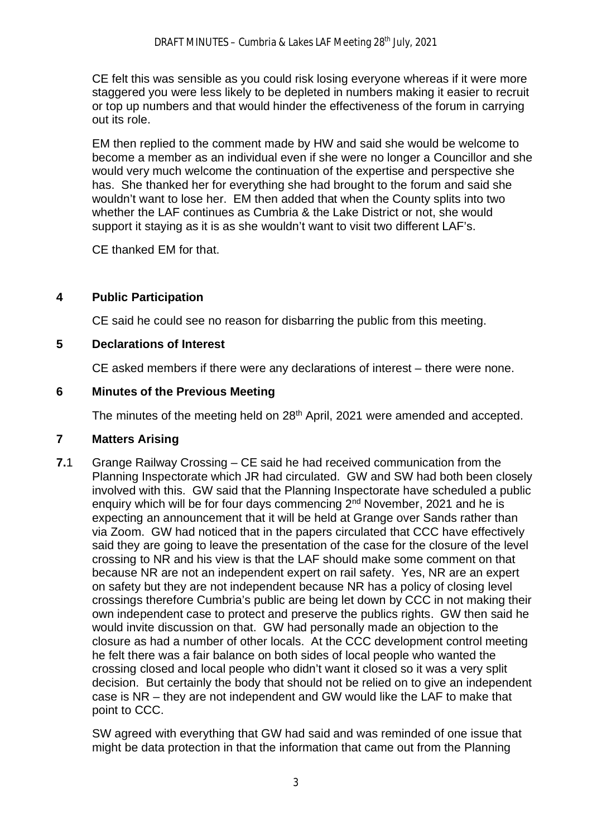CE felt this was sensible as you could risk losing everyone whereas if it were more staggered you were less likely to be depleted in numbers making it easier to recruit or top up numbers and that would hinder the effectiveness of the forum in carrying out its role.

EM then replied to the comment made by HW and said she would be welcome to become a member as an individual even if she were no longer a Councillor and she would very much welcome the continuation of the expertise and perspective she has. She thanked her for everything she had brought to the forum and said she wouldn't want to lose her. EM then added that when the County splits into two whether the LAF continues as Cumbria & the Lake District or not, she would support it staying as it is as she wouldn't want to visit two different LAF's.

CE thanked EM for that.

## **4 Public Participation**

CE said he could see no reason for disbarring the public from this meeting.

## **5 Declarations of Interest**

CE asked members if there were any declarations of interest – there were none.

## **6 Minutes of the Previous Meeting**

The minutes of the meeting held on 28<sup>th</sup> April, 2021 were amended and accepted.

### **7 Matters Arising**

**7.**1 Grange Railway Crossing – CE said he had received communication from the Planning Inspectorate which JR had circulated. GW and SW had both been closely involved with this. GW said that the Planning Inspectorate have scheduled a public enquiry which will be for four days commencing 2nd November, 2021 and he is expecting an announcement that it will be held at Grange over Sands rather than via Zoom. GW had noticed that in the papers circulated that CCC have effectively said they are going to leave the presentation of the case for the closure of the level crossing to NR and his view is that the LAF should make some comment on that because NR are not an independent expert on rail safety. Yes, NR are an expert on safety but they are not independent because NR has a policy of closing level crossings therefore Cumbria's public are being let down by CCC in not making their own independent case to protect and preserve the publics rights. GW then said he would invite discussion on that. GW had personally made an objection to the closure as had a number of other locals. At the CCC development control meeting he felt there was a fair balance on both sides of local people who wanted the crossing closed and local people who didn't want it closed so it was a very split decision. But certainly the body that should not be relied on to give an independent case is NR – they are not independent and GW would like the LAF to make that point to CCC.

SW agreed with everything that GW had said and was reminded of one issue that might be data protection in that the information that came out from the Planning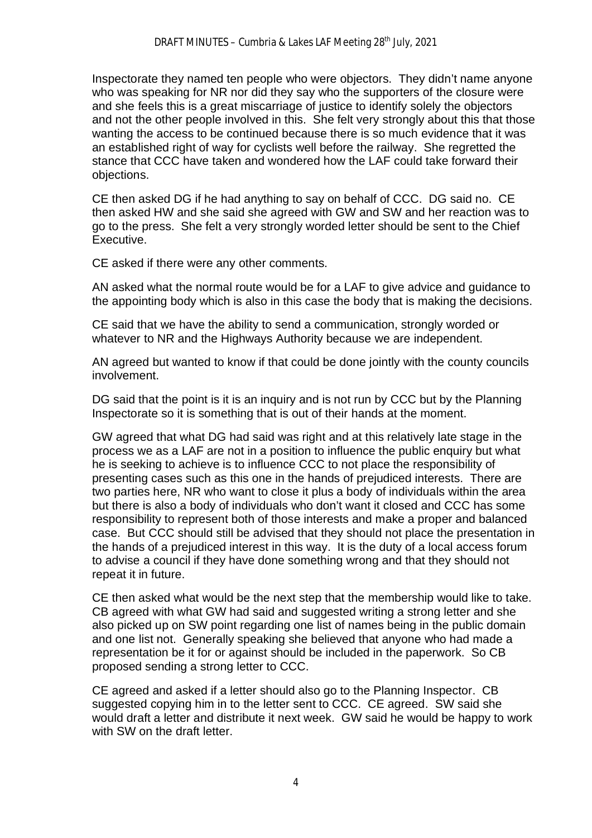Inspectorate they named ten people who were objectors. They didn't name anyone who was speaking for NR nor did they say who the supporters of the closure were and she feels this is a great miscarriage of justice to identify solely the objectors and not the other people involved in this. She felt very strongly about this that those wanting the access to be continued because there is so much evidence that it was an established right of way for cyclists well before the railway. She regretted the stance that CCC have taken and wondered how the LAF could take forward their objections.

 CE then asked DG if he had anything to say on behalf of CCC. DG said no. CE then asked HW and she said she agreed with GW and SW and her reaction was to go to the press. She felt a very strongly worded letter should be sent to the Chief Executive.

CE asked if there were any other comments.

 AN asked what the normal route would be for a LAF to give advice and guidance to the appointing body which is also in this case the body that is making the decisions.

 CE said that we have the ability to send a communication, strongly worded or whatever to NR and the Highways Authority because we are independent.

 AN agreed but wanted to know if that could be done jointly with the county councils involvement.

 DG said that the point is it is an inquiry and is not run by CCC but by the Planning Inspectorate so it is something that is out of their hands at the moment.

 GW agreed that what DG had said was right and at this relatively late stage in the process we as a LAF are not in a position to influence the public enquiry but what he is seeking to achieve is to influence CCC to not place the responsibility of presenting cases such as this one in the hands of prejudiced interests. There are two parties here, NR who want to close it plus a body of individuals within the area but there is also a body of individuals who don't want it closed and CCC has some responsibility to represent both of those interests and make a proper and balanced case. But CCC should still be advised that they should not place the presentation in the hands of a prejudiced interest in this way. It is the duty of a local access forum to advise a council if they have done something wrong and that they should not repeat it in future.

 CE then asked what would be the next step that the membership would like to take. CB agreed with what GW had said and suggested writing a strong letter and she also picked up on SW point regarding one list of names being in the public domain and one list not. Generally speaking she believed that anyone who had made a representation be it for or against should be included in the paperwork. So CB proposed sending a strong letter to CCC.

 CE agreed and asked if a letter should also go to the Planning Inspector. CB suggested copying him in to the letter sent to CCC. CE agreed. SW said she would draft a letter and distribute it next week. GW said he would be happy to work with SW on the draft letter.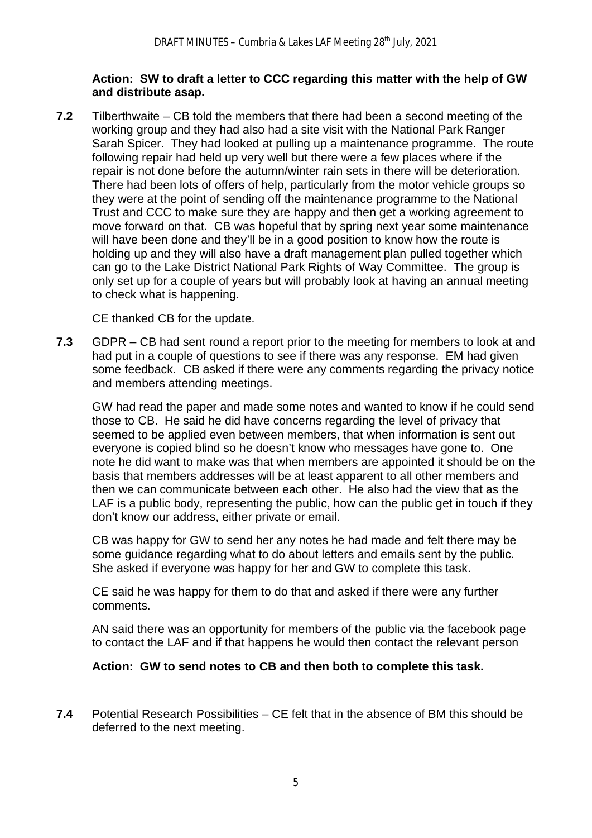## **Action: SW to draft a letter to CCC regarding this matter with the help of GW and distribute asap.**

**7.2** Tilberthwaite – CB told the members that there had been a second meeting of the working group and they had also had a site visit with the National Park Ranger Sarah Spicer. They had looked at pulling up a maintenance programme. The route following repair had held up very well but there were a few places where if the repair is not done before the autumn/winter rain sets in there will be deterioration. There had been lots of offers of help, particularly from the motor vehicle groups so they were at the point of sending off the maintenance programme to the National Trust and CCC to make sure they are happy and then get a working agreement to move forward on that. CB was hopeful that by spring next year some maintenance will have been done and they'll be in a good position to know how the route is holding up and they will also have a draft management plan pulled together which can go to the Lake District National Park Rights of Way Committee. The group is only set up for a couple of years but will probably look at having an annual meeting to check what is happening.

CE thanked CB for the update.

**7.3** GDPR – CB had sent round a report prior to the meeting for members to look at and had put in a couple of questions to see if there was any response. EM had given some feedback. CB asked if there were any comments regarding the privacy notice and members attending meetings.

GW had read the paper and made some notes and wanted to know if he could send those to CB. He said he did have concerns regarding the level of privacy that seemed to be applied even between members, that when information is sent out everyone is copied blind so he doesn't know who messages have gone to. One note he did want to make was that when members are appointed it should be on the basis that members addresses will be at least apparent to all other members and then we can communicate between each other. He also had the view that as the LAF is a public body, representing the public, how can the public get in touch if they don't know our address, either private or email.

 CB was happy for GW to send her any notes he had made and felt there may be some guidance regarding what to do about letters and emails sent by the public. She asked if everyone was happy for her and GW to complete this task.

 CE said he was happy for them to do that and asked if there were any further comments.

AN said there was an opportunity for members of the public via the facebook page to contact the LAF and if that happens he would then contact the relevant person

# **Action: GW to send notes to CB and then both to complete this task.**

**7.4** Potential Research Possibilities – CE felt that in the absence of BM this should be deferred to the next meeting.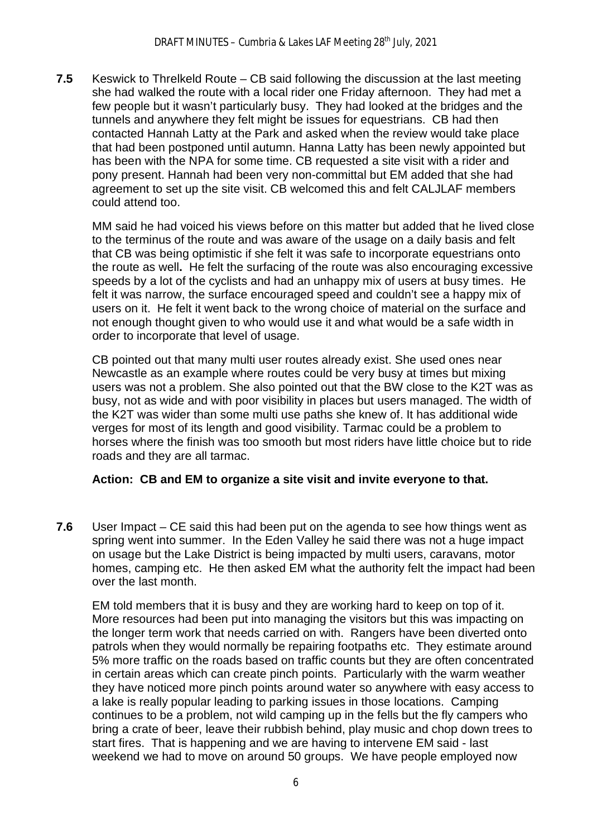**7.5** Keswick to Threlkeld Route – CB said following the discussion at the last meeting she had walked the route with a local rider one Friday afternoon. They had met a few people but it wasn't particularly busy. They had looked at the bridges and the tunnels and anywhere they felt might be issues for equestrians. CB had then contacted Hannah Latty at the Park and asked when the review would take place that had been postponed until autumn. Hanna Latty has been newly appointed but has been with the NPA for some time. CB requested a site visit with a rider and pony present. Hannah had been very non-committal but EM added that she had agreement to set up the site visit. CB welcomed this and felt CALJLAF members could attend too.

 MM said he had voiced his views before on this matter but added that he lived close to the terminus of the route and was aware of the usage on a daily basis and felt that CB was being optimistic if she felt it was safe to incorporate equestrians onto the route as well**.** He felt the surfacing of the route was also encouraging excessive speeds by a lot of the cyclists and had an unhappy mix of users at busy times. He felt it was narrow, the surface encouraged speed and couldn't see a happy mix of users on it. He felt it went back to the wrong choice of material on the surface and not enough thought given to who would use it and what would be a safe width in order to incorporate that level of usage.

 CB pointed out that many multi user routes already exist. She used ones near Newcastle as an example where routes could be very busy at times but mixing users was not a problem. She also pointed out that the BW close to the K2T was as busy, not as wide and with poor visibility in places but users managed. The width of the K2T was wider than some multi use paths she knew of. It has additional wide verges for most of its length and good visibility. Tarmac could be a problem to horses where the finish was too smooth but most riders have little choice but to ride roads and they are all tarmac.

### **Action: CB and EM to organize a site visit and invite everyone to that.**

**7.6** User Impact – CE said this had been put on the agenda to see how things went as spring went into summer. In the Eden Valley he said there was not a huge impact on usage but the Lake District is being impacted by multi users, caravans, motor homes, camping etc. He then asked EM what the authority felt the impact had been over the last month.

EM told members that it is busy and they are working hard to keep on top of it. More resources had been put into managing the visitors but this was impacting on the longer term work that needs carried on with. Rangers have been diverted onto patrols when they would normally be repairing footpaths etc. They estimate around 5% more traffic on the roads based on traffic counts but they are often concentrated in certain areas which can create pinch points. Particularly with the warm weather they have noticed more pinch points around water so anywhere with easy access to a lake is really popular leading to parking issues in those locations. Camping continues to be a problem, not wild camping up in the fells but the fly campers who bring a crate of beer, leave their rubbish behind, play music and chop down trees to start fires. That is happening and we are having to intervene EM said - last weekend we had to move on around 50 groups. We have people employed now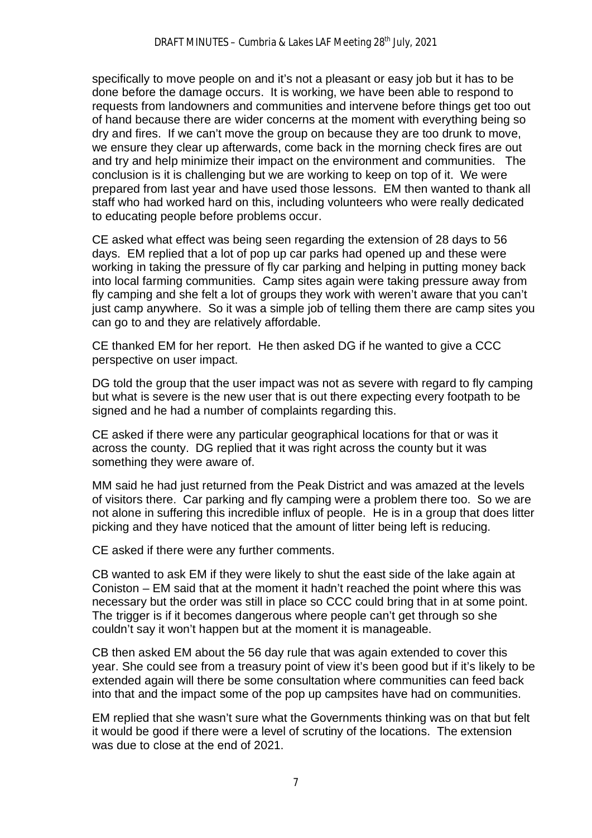specifically to move people on and it's not a pleasant or easy job but it has to be done before the damage occurs. It is working, we have been able to respond to requests from landowners and communities and intervene before things get too out of hand because there are wider concerns at the moment with everything being so dry and fires. If we can't move the group on because they are too drunk to move, we ensure they clear up afterwards, come back in the morning check fires are out and try and help minimize their impact on the environment and communities. The conclusion is it is challenging but we are working to keep on top of it. We were prepared from last year and have used those lessons. EM then wanted to thank all staff who had worked hard on this, including volunteers who were really dedicated to educating people before problems occur.

 CE asked what effect was being seen regarding the extension of 28 days to 56 days. EM replied that a lot of pop up car parks had opened up and these were working in taking the pressure of fly car parking and helping in putting money back into local farming communities. Camp sites again were taking pressure away from fly camping and she felt a lot of groups they work with weren't aware that you can't just camp anywhere. So it was a simple job of telling them there are camp sites you can go to and they are relatively affordable.

 CE thanked EM for her report. He then asked DG if he wanted to give a CCC perspective on user impact.

DG told the group that the user impact was not as severe with regard to fly camping but what is severe is the new user that is out there expecting every footpath to be signed and he had a number of complaints regarding this.

 CE asked if there were any particular geographical locations for that or was it across the county. DG replied that it was right across the county but it was something they were aware of.

 MM said he had just returned from the Peak District and was amazed at the levels of visitors there. Car parking and fly camping were a problem there too. So we are not alone in suffering this incredible influx of people. He is in a group that does litter picking and they have noticed that the amount of litter being left is reducing.

CE asked if there were any further comments.

 CB wanted to ask EM if they were likely to shut the east side of the lake again at Coniston – EM said that at the moment it hadn't reached the point where this was necessary but the order was still in place so CCC could bring that in at some point. The trigger is if it becomes dangerous where people can't get through so she couldn't say it won't happen but at the moment it is manageable.

 CB then asked EM about the 56 day rule that was again extended to cover this year. She could see from a treasury point of view it's been good but if it's likely to be extended again will there be some consultation where communities can feed back into that and the impact some of the pop up campsites have had on communities.

 EM replied that she wasn't sure what the Governments thinking was on that but felt it would be good if there were a level of scrutiny of the locations. The extension was due to close at the end of 2021.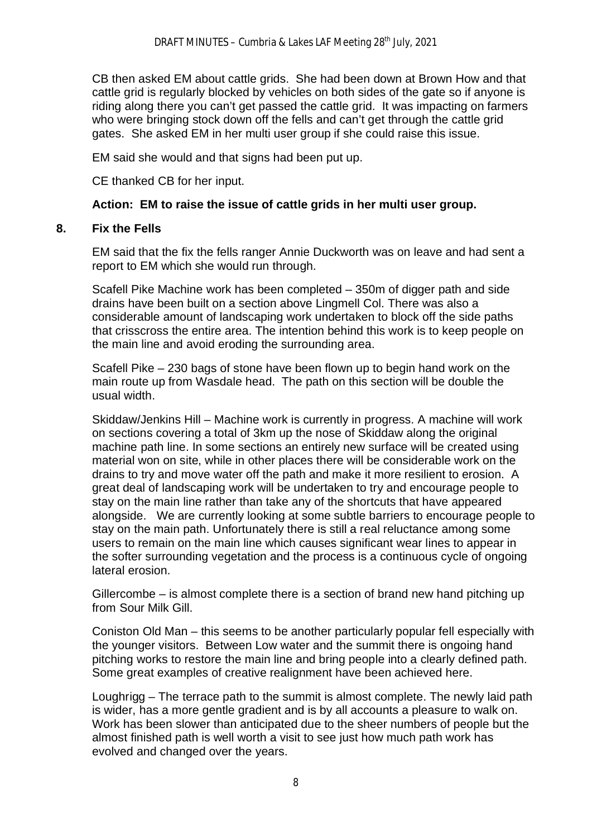CB then asked EM about cattle grids. She had been down at Brown How and that cattle grid is regularly blocked by vehicles on both sides of the gate so if anyone is riding along there you can't get passed the cattle grid. It was impacting on farmers who were bringing stock down off the fells and can't get through the cattle grid gates. She asked EM in her multi user group if she could raise this issue.

EM said she would and that signs had been put up.

CE thanked CB for her input.

### **Action: EM to raise the issue of cattle grids in her multi user group.**

### **8. Fix the Fells**

EM said that the fix the fells ranger Annie Duckworth was on leave and had sent a report to EM which she would run through.

 Scafell Pike Machine work has been completed – 350m of digger path and side drains have been built on a section above Lingmell Col. There was also a considerable amount of landscaping work undertaken to block off the side paths that crisscross the entire area. The intention behind this work is to keep people on the main line and avoid eroding the surrounding area.

Scafell Pike – 230 bags of stone have been flown up to begin hand work on the main route up from Wasdale head. The path on this section will be double the usual width.

Skiddaw/Jenkins Hill – Machine work is currently in progress. A machine will work on sections covering a total of 3km up the nose of Skiddaw along the original machine path line. In some sections an entirely new surface will be created using material won on site, while in other places there will be considerable work on the drains to try and move water off the path and make it more resilient to erosion. A great deal of landscaping work will be undertaken to try and encourage people to stay on the main line rather than take any of the shortcuts that have appeared alongside. We are currently looking at some subtle barriers to encourage people to stay on the main path. Unfortunately there is still a real reluctance among some users to remain on the main line which causes significant wear lines to appear in the softer surrounding vegetation and the process is a continuous cycle of ongoing lateral erosion.

Gillercombe – is almost complete there is a section of brand new hand pitching up from Sour Milk Gill.

Coniston Old Man – this seems to be another particularly popular fell especially with the younger visitors. Between Low water and the summit there is ongoing hand pitching works to restore the main line and bring people into a clearly defined path. Some great examples of creative realignment have been achieved here.

Loughrigg – The terrace path to the summit is almost complete. The newly laid path is wider, has a more gentle gradient and is by all accounts a pleasure to walk on. Work has been slower than anticipated due to the sheer numbers of people but the almost finished path is well worth a visit to see just how much path work has evolved and changed over the years.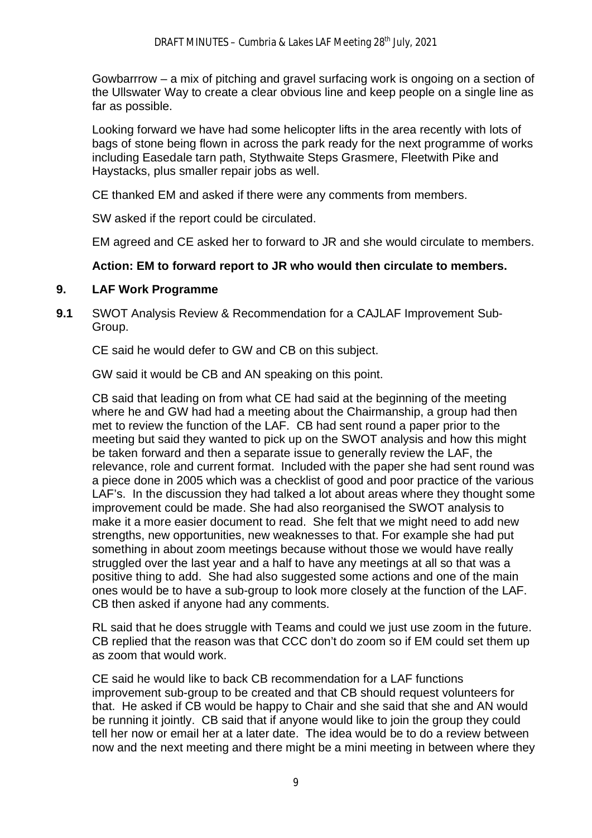Gowbarrrow – a mix of pitching and gravel surfacing work is ongoing on a section of the Ullswater Way to create a clear obvious line and keep people on a single line as far as possible.

Looking forward we have had some helicopter lifts in the area recently with lots of bags of stone being flown in across the park ready for the next programme of works including Easedale tarn path, Stythwaite Steps Grasmere, Fleetwith Pike and Haystacks, plus smaller repair jobs as well.

CE thanked EM and asked if there were any comments from members.

SW asked if the report could be circulated.

EM agreed and CE asked her to forward to JR and she would circulate to members.

### **Action: EM to forward report to JR who would then circulate to members.**

### **9. LAF Work Programme**

**9.1** SWOT Analysis Review & Recommendation for a CAJLAF Improvement Sub-Group.

CE said he would defer to GW and CB on this subject.

GW said it would be CB and AN speaking on this point.

 CB said that leading on from what CE had said at the beginning of the meeting where he and GW had had a meeting about the Chairmanship, a group had then met to review the function of the LAF. CB had sent round a paper prior to the meeting but said they wanted to pick up on the SWOT analysis and how this might be taken forward and then a separate issue to generally review the LAF, the relevance, role and current format. Included with the paper she had sent round was a piece done in 2005 which was a checklist of good and poor practice of the various LAF's. In the discussion they had talked a lot about areas where they thought some improvement could be made. She had also reorganised the SWOT analysis to make it a more easier document to read. She felt that we might need to add new strengths, new opportunities, new weaknesses to that. For example she had put something in about zoom meetings because without those we would have really struggled over the last year and a half to have any meetings at all so that was a positive thing to add. She had also suggested some actions and one of the main ones would be to have a sub-group to look more closely at the function of the LAF. CB then asked if anyone had any comments.

 RL said that he does struggle with Teams and could we just use zoom in the future. CB replied that the reason was that CCC don't do zoom so if EM could set them up as zoom that would work.

 CE said he would like to back CB recommendation for a LAF functions improvement sub-group to be created and that CB should request volunteers for that. He asked if CB would be happy to Chair and she said that she and AN would be running it jointly. CB said that if anyone would like to join the group they could tell her now or email her at a later date. The idea would be to do a review between now and the next meeting and there might be a mini meeting in between where they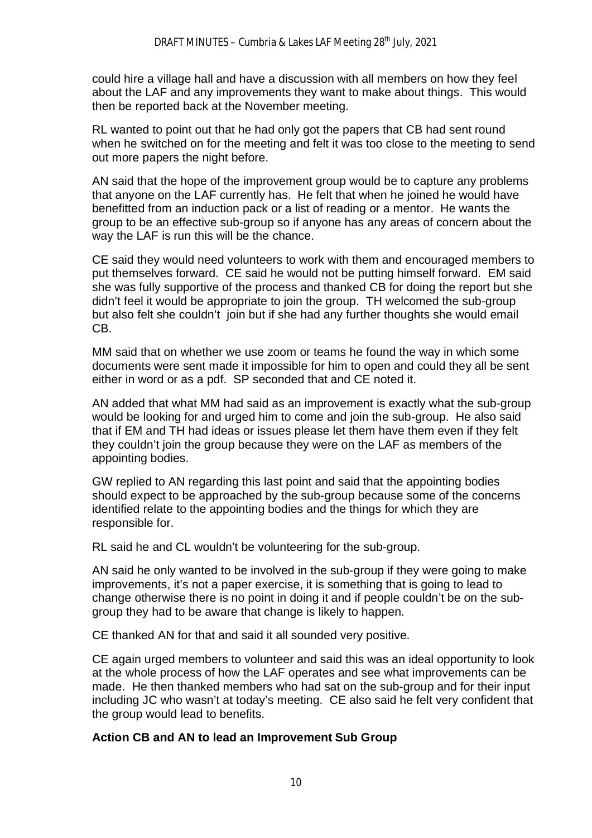could hire a village hall and have a discussion with all members on how they feel about the LAF and any improvements they want to make about things. This would then be reported back at the November meeting.

 RL wanted to point out that he had only got the papers that CB had sent round when he switched on for the meeting and felt it was too close to the meeting to send out more papers the night before.

 AN said that the hope of the improvement group would be to capture any problems that anyone on the LAF currently has. He felt that when he joined he would have benefitted from an induction pack or a list of reading or a mentor. He wants the group to be an effective sub-group so if anyone has any areas of concern about the way the LAF is run this will be the chance.

 CE said they would need volunteers to work with them and encouraged members to put themselves forward. CE said he would not be putting himself forward. EM said she was fully supportive of the process and thanked CB for doing the report but she didn't feel it would be appropriate to join the group. TH welcomed the sub-group but also felt she couldn't join but if she had any further thoughts she would email CB.

 MM said that on whether we use zoom or teams he found the way in which some documents were sent made it impossible for him to open and could they all be sent either in word or as a pdf. SP seconded that and CE noted it.

 AN added that what MM had said as an improvement is exactly what the sub-group would be looking for and urged him to come and join the sub-group. He also said that if EM and TH had ideas or issues please let them have them even if they felt they couldn't join the group because they were on the LAF as members of the appointing bodies.

 GW replied to AN regarding this last point and said that the appointing bodies should expect to be approached by the sub-group because some of the concerns identified relate to the appointing bodies and the things for which they are responsible for.

RL said he and CL wouldn't be volunteering for the sub-group.

 AN said he only wanted to be involved in the sub-group if they were going to make improvements, it's not a paper exercise, it is something that is going to lead to change otherwise there is no point in doing it and if people couldn't be on the subgroup they had to be aware that change is likely to happen.

CE thanked AN for that and said it all sounded very positive.

 CE again urged members to volunteer and said this was an ideal opportunity to look at the whole process of how the LAF operates and see what improvements can be made. He then thanked members who had sat on the sub-group and for their input including JC who wasn't at today's meeting. CE also said he felt very confident that the group would lead to benefits.

# **Action CB and AN to lead an Improvement Sub Group**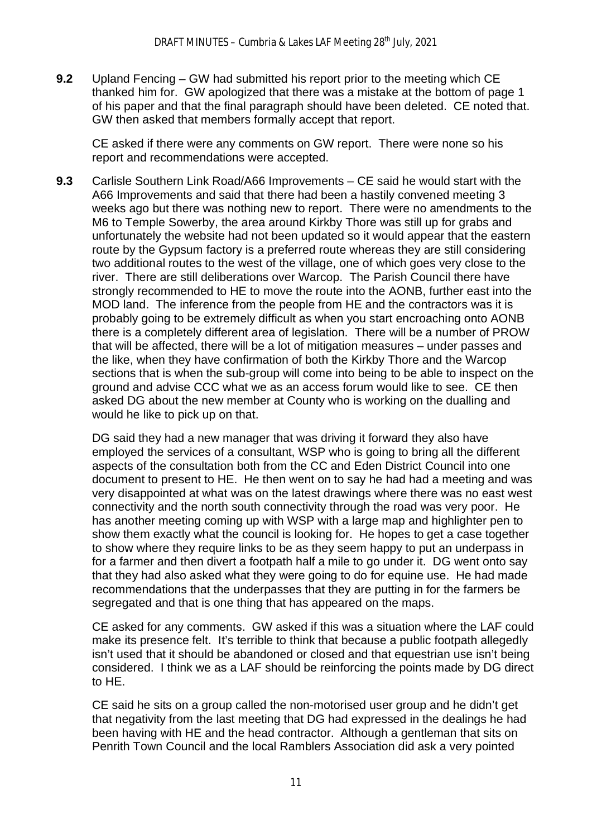**9.2** Upland Fencing – GW had submitted his report prior to the meeting which CE thanked him for. GW apologized that there was a mistake at the bottom of page 1 of his paper and that the final paragraph should have been deleted. CE noted that. GW then asked that members formally accept that report.

CE asked if there were any comments on GW report. There were none so his report and recommendations were accepted.

**9.3** Carlisle Southern Link Road/A66 Improvements – CE said he would start with the A66 Improvements and said that there had been a hastily convened meeting 3 weeks ago but there was nothing new to report. There were no amendments to the M6 to Temple Sowerby, the area around Kirkby Thore was still up for grabs and unfortunately the website had not been updated so it would appear that the eastern route by the Gypsum factory is a preferred route whereas they are still considering two additional routes to the west of the village, one of which goes very close to the river. There are still deliberations over Warcop. The Parish Council there have strongly recommended to HE to move the route into the AONB, further east into the MOD land. The inference from the people from HE and the contractors was it is probably going to be extremely difficult as when you start encroaching onto AONB there is a completely different area of legislation. There will be a number of PROW that will be affected, there will be a lot of mitigation measures – under passes and the like, when they have confirmation of both the Kirkby Thore and the Warcop sections that is when the sub-group will come into being to be able to inspect on the ground and advise CCC what we as an access forum would like to see. CE then asked DG about the new member at County who is working on the dualling and would he like to pick up on that.

DG said they had a new manager that was driving it forward they also have employed the services of a consultant, WSP who is going to bring all the different aspects of the consultation both from the CC and Eden District Council into one document to present to HE. He then went on to say he had had a meeting and was very disappointed at what was on the latest drawings where there was no east west connectivity and the north south connectivity through the road was very poor. He has another meeting coming up with WSP with a large map and highlighter pen to show them exactly what the council is looking for. He hopes to get a case together to show where they require links to be as they seem happy to put an underpass in for a farmer and then divert a footpath half a mile to go under it. DG went onto say that they had also asked what they were going to do for equine use. He had made recommendations that the underpasses that they are putting in for the farmers be segregated and that is one thing that has appeared on the maps.

CE asked for any comments. GW asked if this was a situation where the LAF could make its presence felt. It's terrible to think that because a public footpath allegedly isn't used that it should be abandoned or closed and that equestrian use isn't being considered. I think we as a LAF should be reinforcing the points made by DG direct to HE.

CE said he sits on a group called the non-motorised user group and he didn't get that negativity from the last meeting that DG had expressed in the dealings he had been having with HE and the head contractor. Although a gentleman that sits on Penrith Town Council and the local Ramblers Association did ask a very pointed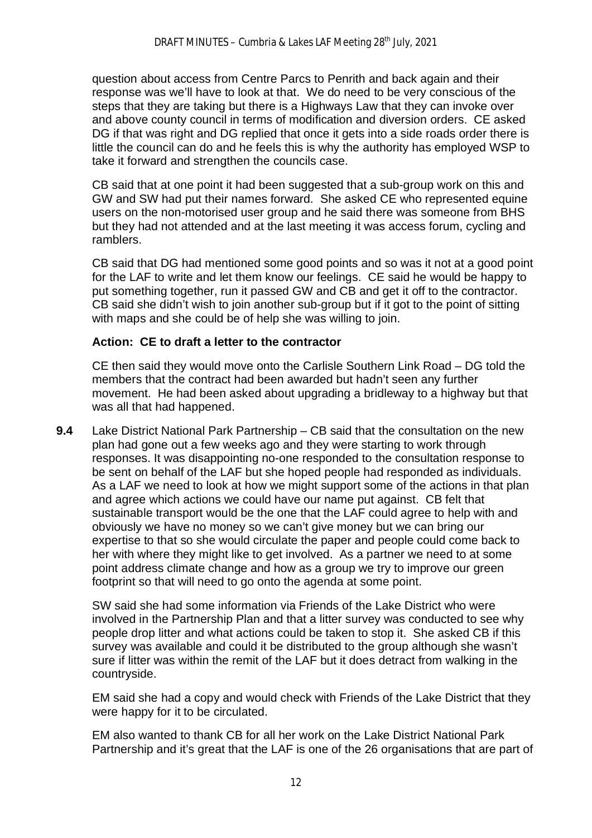question about access from Centre Parcs to Penrith and back again and their response was we'll have to look at that. We do need to be very conscious of the steps that they are taking but there is a Highways Law that they can invoke over and above county council in terms of modification and diversion orders. CE asked DG if that was right and DG replied that once it gets into a side roads order there is little the council can do and he feels this is why the authority has employed WSP to take it forward and strengthen the councils case.

CB said that at one point it had been suggested that a sub-group work on this and GW and SW had put their names forward. She asked CE who represented equine users on the non-motorised user group and he said there was someone from BHS but they had not attended and at the last meeting it was access forum, cycling and ramblers.

CB said that DG had mentioned some good points and so was it not at a good point for the LAF to write and let them know our feelings. CE said he would be happy to put something together, run it passed GW and CB and get it off to the contractor. CB said she didn't wish to join another sub-group but if it got to the point of sitting with maps and she could be of help she was willing to join.

## **Action: CE to draft a letter to the contractor**

CE then said they would move onto the Carlisle Southern Link Road – DG told the members that the contract had been awarded but hadn't seen any further movement. He had been asked about upgrading a bridleway to a highway but that was all that had happened.

**9.4** Lake District National Park Partnership – CB said that the consultation on the new plan had gone out a few weeks ago and they were starting to work through responses. It was disappointing no-one responded to the consultation response to be sent on behalf of the LAF but she hoped people had responded as individuals. As a LAF we need to look at how we might support some of the actions in that plan and agree which actions we could have our name put against. CB felt that sustainable transport would be the one that the LAF could agree to help with and obviously we have no money so we can't give money but we can bring our expertise to that so she would circulate the paper and people could come back to her with where they might like to get involved. As a partner we need to at some point address climate change and how as a group we try to improve our green footprint so that will need to go onto the agenda at some point.

SW said she had some information via Friends of the Lake District who were involved in the Partnership Plan and that a litter survey was conducted to see why people drop litter and what actions could be taken to stop it. She asked CB if this survey was available and could it be distributed to the group although she wasn't sure if litter was within the remit of the LAF but it does detract from walking in the countryside.

 EM said she had a copy and would check with Friends of the Lake District that they were happy for it to be circulated.

 EM also wanted to thank CB for all her work on the Lake District National Park Partnership and it's great that the LAF is one of the 26 organisations that are part of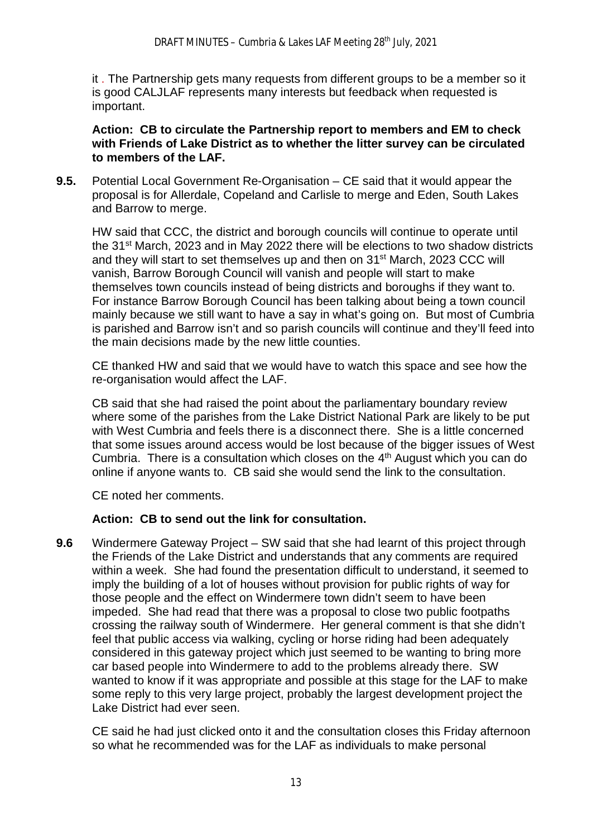it . The Partnership gets many requests from different groups to be a member so it is good CALJLAF represents many interests but feedback when requested is important.

#### **Action: CB to circulate the Partnership report to members and EM to check with Friends of Lake District as to whether the litter survey can be circulated to members of the LAF.**

**9.5.** Potential Local Government Re-Organisation – CE said that it would appear the proposal is for Allerdale, Copeland and Carlisle to merge and Eden, South Lakes and Barrow to merge.

HW said that CCC, the district and borough councils will continue to operate until the 31st March, 2023 and in May 2022 there will be elections to two shadow districts and they will start to set themselves up and then on 31<sup>st</sup> March, 2023 CCC will vanish, Barrow Borough Council will vanish and people will start to make themselves town councils instead of being districts and boroughs if they want to. For instance Barrow Borough Council has been talking about being a town council mainly because we still want to have a say in what's going on. But most of Cumbria is parished and Barrow isn't and so parish councils will continue and they'll feed into the main decisions made by the new little counties.

 CE thanked HW and said that we would have to watch this space and see how the re-organisation would affect the LAF.

 CB said that she had raised the point about the parliamentary boundary review where some of the parishes from the Lake District National Park are likely to be put with West Cumbria and feels there is a disconnect there. She is a little concerned that some issues around access would be lost because of the bigger issues of West Cumbria. There is a consultation which closes on the 4<sup>th</sup> August which you can do online if anyone wants to. CB said she would send the link to the consultation.

CE noted her comments.

### **Action: CB to send out the link for consultation.**

**9.6** Windermere Gateway Project – SW said that she had learnt of this project through the Friends of the Lake District and understands that any comments are required within a week. She had found the presentation difficult to understand, it seemed to imply the building of a lot of houses without provision for public rights of way for those people and the effect on Windermere town didn't seem to have been impeded. She had read that there was a proposal to close two public footpaths crossing the railway south of Windermere. Her general comment is that she didn't feel that public access via walking, cycling or horse riding had been adequately considered in this gateway project which just seemed to be wanting to bring more car based people into Windermere to add to the problems already there. SW wanted to know if it was appropriate and possible at this stage for the LAF to make some reply to this very large project, probably the largest development project the Lake District had ever seen.

CE said he had just clicked onto it and the consultation closes this Friday afternoon so what he recommended was for the LAF as individuals to make personal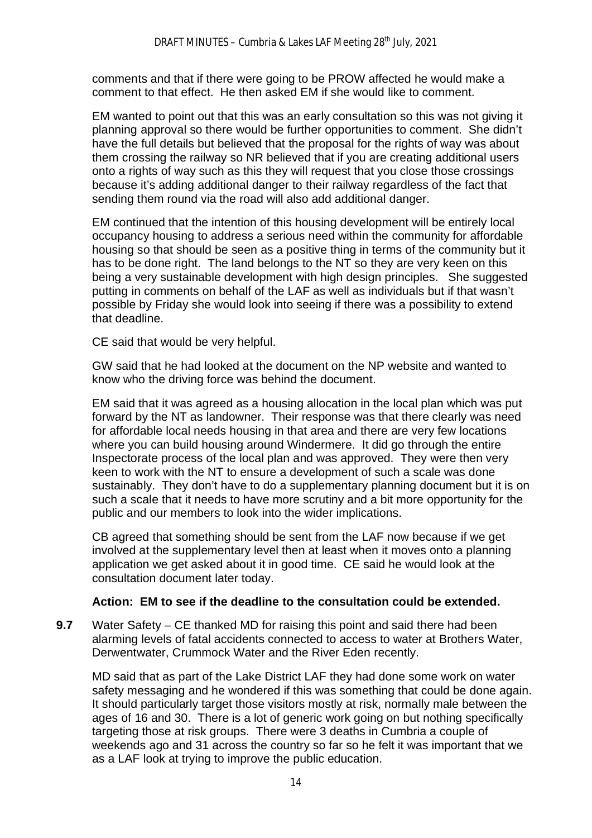comments and that if there were going to be PROW affected he would make a comment to that effect. He then asked EM if she would like to comment.

 EM wanted to point out that this was an early consultation so this was not giving it planning approval so there would be further opportunities to comment. She didn't have the full details but believed that the proposal for the rights of way was about them crossing the railway so NR believed that if you are creating additional users onto a rights of way such as this they will request that you close those crossings because it's adding additional danger to their railway regardless of the fact that sending them round via the road will also add additional danger.

 EM continued that the intention of this housing development will be entirely local occupancy housing to address a serious need within the community for affordable housing so that should be seen as a positive thing in terms of the community but it has to be done right. The land belongs to the NT so they are very keen on this being a very sustainable development with high design principles. She suggested putting in comments on behalf of the LAF as well as individuals but if that wasn't possible by Friday she would look into seeing if there was a possibility to extend that deadline.

CE said that would be very helpful.

 GW said that he had looked at the document on the NP website and wanted to know who the driving force was behind the document.

 EM said that it was agreed as a housing allocation in the local plan which was put forward by the NT as landowner. Their response was that there clearly was need for affordable local needs housing in that area and there are very few locations where you can build housing around Windermere. It did go through the entire Inspectorate process of the local plan and was approved. They were then very keen to work with the NT to ensure a development of such a scale was done sustainably. They don't have to do a supplementary planning document but it is on such a scale that it needs to have more scrutiny and a bit more opportunity for the public and our members to look into the wider implications.

 CB agreed that something should be sent from the LAF now because if we get involved at the supplementary level then at least when it moves onto a planning application we get asked about it in good time. CE said he would look at the consultation document later today.

# **Action: EM to see if the deadline to the consultation could be extended.**

**9.7** Water Safety – CE thanked MD for raising this point and said there had been alarming levels of fatal accidents connected to access to water at Brothers Water, Derwentwater, Crummock Water and the River Eden recently.

MD said that as part of the Lake District LAF they had done some work on water safety messaging and he wondered if this was something that could be done again. It should particularly target those visitors mostly at risk, normally male between the ages of 16 and 30. There is a lot of generic work going on but nothing specifically targeting those at risk groups. There were 3 deaths in Cumbria a couple of weekends ago and 31 across the country so far so he felt it was important that we as a LAF look at trying to improve the public education.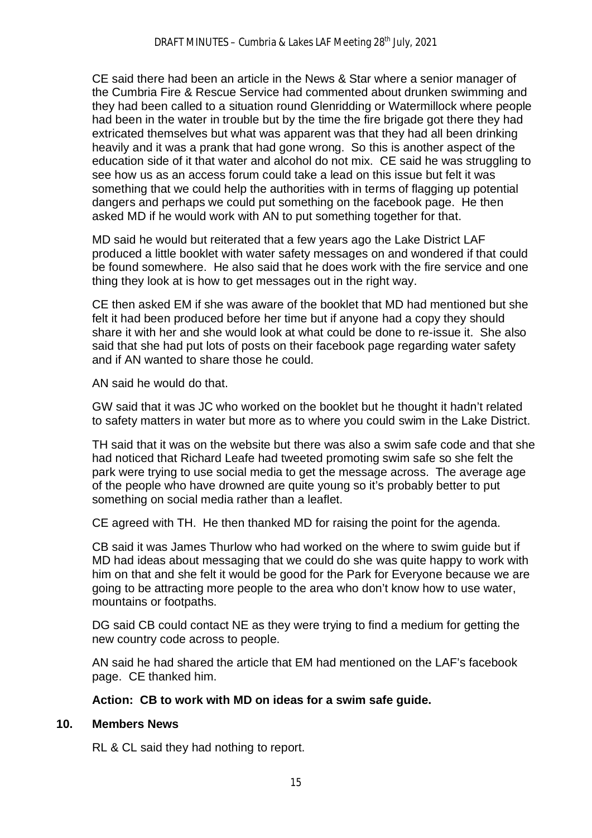CE said there had been an article in the News & Star where a senior manager of the Cumbria Fire & Rescue Service had commented about drunken swimming and they had been called to a situation round Glenridding or Watermillock where people had been in the water in trouble but by the time the fire brigade got there they had extricated themselves but what was apparent was that they had all been drinking heavily and it was a prank that had gone wrong. So this is another aspect of the education side of it that water and alcohol do not mix. CE said he was struggling to see how us as an access forum could take a lead on this issue but felt it was something that we could help the authorities with in terms of flagging up potential dangers and perhaps we could put something on the facebook page. He then asked MD if he would work with AN to put something together for that.

 MD said he would but reiterated that a few years ago the Lake District LAF produced a little booklet with water safety messages on and wondered if that could be found somewhere. He also said that he does work with the fire service and one thing they look at is how to get messages out in the right way.

 CE then asked EM if she was aware of the booklet that MD had mentioned but she felt it had been produced before her time but if anyone had a copy they should share it with her and she would look at what could be done to re-issue it. She also said that she had put lots of posts on their facebook page regarding water safety and if AN wanted to share those he could.

AN said he would do that.

 GW said that it was JC who worked on the booklet but he thought it hadn't related to safety matters in water but more as to where you could swim in the Lake District.

 TH said that it was on the website but there was also a swim safe code and that she had noticed that Richard Leafe had tweeted promoting swim safe so she felt the park were trying to use social media to get the message across. The average age of the people who have drowned are quite young so it's probably better to put something on social media rather than a leaflet.

CE agreed with TH. He then thanked MD for raising the point for the agenda.

 CB said it was James Thurlow who had worked on the where to swim guide but if MD had ideas about messaging that we could do she was quite happy to work with him on that and she felt it would be good for the Park for Everyone because we are going to be attracting more people to the area who don't know how to use water, mountains or footpaths.

 DG said CB could contact NE as they were trying to find a medium for getting the new country code across to people.

 AN said he had shared the article that EM had mentioned on the LAF's facebook page. CE thanked him.

# **Action: CB to work with MD on ideas for a swim safe guide.**

### **10. Members News**

RL & CL said they had nothing to report.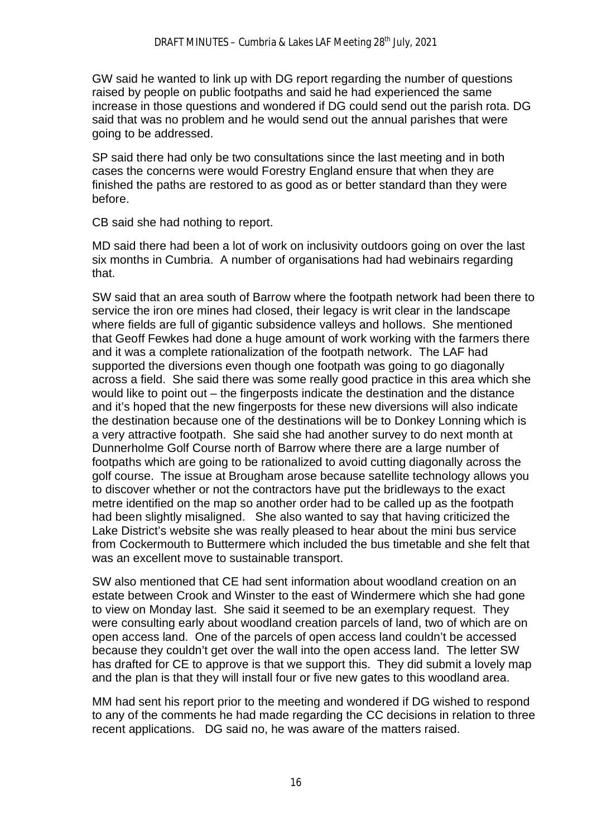GW said he wanted to link up with DG report regarding the number of questions raised by people on public footpaths and said he had experienced the same increase in those questions and wondered if DG could send out the parish rota. DG said that was no problem and he would send out the annual parishes that were going to be addressed.

 SP said there had only be two consultations since the last meeting and in both cases the concerns were would Forestry England ensure that when they are finished the paths are restored to as good as or better standard than they were before.

CB said she had nothing to report.

 MD said there had been a lot of work on inclusivity outdoors going on over the last six months in Cumbria. A number of organisations had had webinairs regarding that.

 SW said that an area south of Barrow where the footpath network had been there to service the iron ore mines had closed, their legacy is writ clear in the landscape where fields are full of gigantic subsidence valleys and hollows. She mentioned that Geoff Fewkes had done a huge amount of work working with the farmers there and it was a complete rationalization of the footpath network. The LAF had supported the diversions even though one footpath was going to go diagonally across a field. She said there was some really good practice in this area which she would like to point out – the fingerposts indicate the destination and the distance and it's hoped that the new fingerposts for these new diversions will also indicate the destination because one of the destinations will be to Donkey Lonning which is a very attractive footpath. She said she had another survey to do next month at Dunnerholme Golf Course north of Barrow where there are a large number of footpaths which are going to be rationalized to avoid cutting diagonally across the golf course. The issue at Brougham arose because satellite technology allows you to discover whether or not the contractors have put the bridleways to the exact metre identified on the map so another order had to be called up as the footpath had been slightly misaligned. She also wanted to say that having criticized the Lake District's website she was really pleased to hear about the mini bus service from Cockermouth to Buttermere which included the bus timetable and she felt that was an excellent move to sustainable transport.

 SW also mentioned that CE had sent information about woodland creation on an estate between Crook and Winster to the east of Windermere which she had gone to view on Monday last. She said it seemed to be an exemplary request. They were consulting early about woodland creation parcels of land, two of which are on open access land. One of the parcels of open access land couldn't be accessed because they couldn't get over the wall into the open access land. The letter SW has drafted for CE to approve is that we support this. They did submit a lovely map and the plan is that they will install four or five new gates to this woodland area.

 MM had sent his report prior to the meeting and wondered if DG wished to respond to any of the comments he had made regarding the CC decisions in relation to three recent applications. DG said no, he was aware of the matters raised.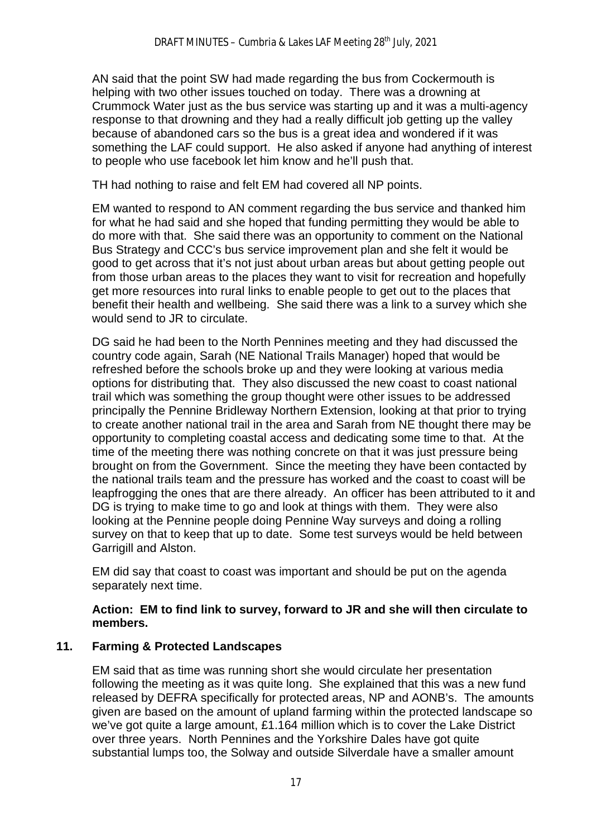AN said that the point SW had made regarding the bus from Cockermouth is helping with two other issues touched on today. There was a drowning at Crummock Water just as the bus service was starting up and it was a multi-agency response to that drowning and they had a really difficult job getting up the valley because of abandoned cars so the bus is a great idea and wondered if it was something the LAF could support. He also asked if anyone had anything of interest to people who use facebook let him know and he'll push that.

TH had nothing to raise and felt EM had covered all NP points.

 EM wanted to respond to AN comment regarding the bus service and thanked him for what he had said and she hoped that funding permitting they would be able to do more with that. She said there was an opportunity to comment on the National Bus Strategy and CCC's bus service improvement plan and she felt it would be good to get across that it's not just about urban areas but about getting people out from those urban areas to the places they want to visit for recreation and hopefully get more resources into rural links to enable people to get out to the places that benefit their health and wellbeing. She said there was a link to a survey which she would send to JR to circulate.

 DG said he had been to the North Pennines meeting and they had discussed the country code again, Sarah (NE National Trails Manager) hoped that would be refreshed before the schools broke up and they were looking at various media options for distributing that. They also discussed the new coast to coast national trail which was something the group thought were other issues to be addressed principally the Pennine Bridleway Northern Extension, looking at that prior to trying to create another national trail in the area and Sarah from NE thought there may be opportunity to completing coastal access and dedicating some time to that. At the time of the meeting there was nothing concrete on that it was just pressure being brought on from the Government. Since the meeting they have been contacted by the national trails team and the pressure has worked and the coast to coast will be leapfrogging the ones that are there already. An officer has been attributed to it and DG is trying to make time to go and look at things with them. They were also looking at the Pennine people doing Pennine Way surveys and doing a rolling survey on that to keep that up to date. Some test surveys would be held between Garrigill and Alston.

 EM did say that coast to coast was important and should be put on the agenda separately next time.

### **Action: EM to find link to survey, forward to JR and she will then circulate to members.**

### **11. Farming & Protected Landscapes**

EM said that as time was running short she would circulate her presentation following the meeting as it was quite long. She explained that this was a new fund released by DEFRA specifically for protected areas, NP and AONB's. The amounts given are based on the amount of upland farming within the protected landscape so we've got quite a large amount, £1.164 million which is to cover the Lake District over three years. North Pennines and the Yorkshire Dales have got quite substantial lumps too, the Solway and outside Silverdale have a smaller amount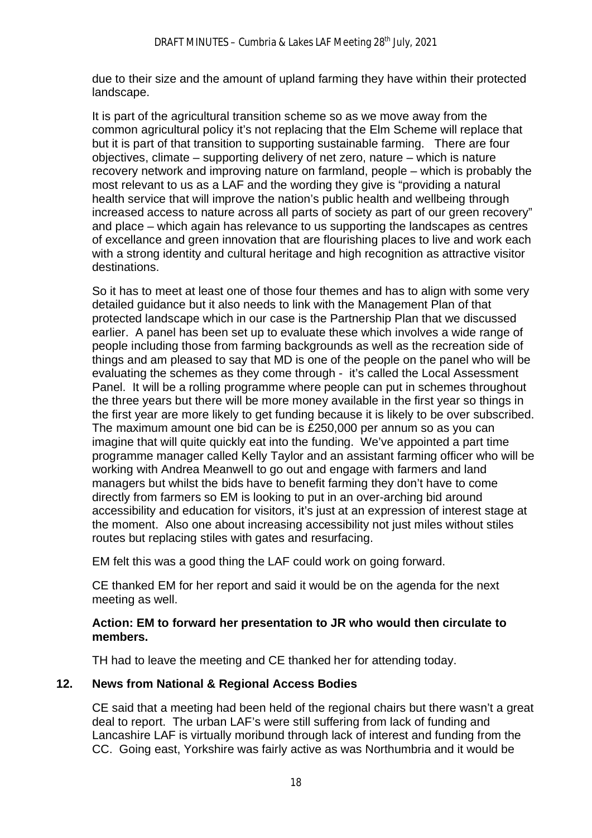due to their size and the amount of upland farming they have within their protected landscape.

It is part of the agricultural transition scheme so as we move away from the common agricultural policy it's not replacing that the Elm Scheme will replace that but it is part of that transition to supporting sustainable farming. There are four objectives, climate – supporting delivery of net zero, nature – which is nature recovery network and improving nature on farmland, people – which is probably the most relevant to us as a LAF and the wording they give is "providing a natural health service that will improve the nation's public health and wellbeing through increased access to nature across all parts of society as part of our green recovery" and place – which again has relevance to us supporting the landscapes as centres of excellance and green innovation that are flourishing places to live and work each with a strong identity and cultural heritage and high recognition as attractive visitor destinations.

So it has to meet at least one of those four themes and has to align with some very detailed guidance but it also needs to link with the Management Plan of that protected landscape which in our case is the Partnership Plan that we discussed earlier. A panel has been set up to evaluate these which involves a wide range of people including those from farming backgrounds as well as the recreation side of things and am pleased to say that MD is one of the people on the panel who will be evaluating the schemes as they come through - it's called the Local Assessment Panel. It will be a rolling programme where people can put in schemes throughout the three years but there will be more money available in the first year so things in the first year are more likely to get funding because it is likely to be over subscribed. The maximum amount one bid can be is £250,000 per annum so as you can imagine that will quite quickly eat into the funding. We've appointed a part time programme manager called Kelly Taylor and an assistant farming officer who will be working with Andrea Meanwell to go out and engage with farmers and land managers but whilst the bids have to benefit farming they don't have to come directly from farmers so EM is looking to put in an over-arching bid around accessibility and education for visitors, it's just at an expression of interest stage at the moment. Also one about increasing accessibility not just miles without stiles routes but replacing stiles with gates and resurfacing.

EM felt this was a good thing the LAF could work on going forward.

CE thanked EM for her report and said it would be on the agenda for the next meeting as well.

# **Action: EM to forward her presentation to JR who would then circulate to members.**

TH had to leave the meeting and CE thanked her for attending today.

# **12. News from National & Regional Access Bodies**

CE said that a meeting had been held of the regional chairs but there wasn't a great deal to report. The urban LAF's were still suffering from lack of funding and Lancashire LAF is virtually moribund through lack of interest and funding from the CC. Going east, Yorkshire was fairly active as was Northumbria and it would be